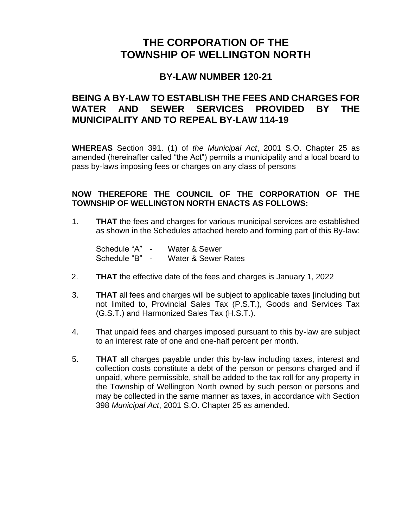### **THE CORPORATION OF THE TOWNSHIP OF WELLINGTON NORTH**

#### **BY-LAW NUMBER 120-21**

#### **BEING A BY-LAW TO ESTABLISH THE FEES AND CHARGES FOR WATER AND SEWER SERVICES PROVIDED BY THE MUNICIPALITY AND TO REPEAL BY-LAW 114-19**

**WHEREAS** Section 391. (1) of *the Municipal Act*, 2001 S.O. Chapter 25 as amended (hereinafter called "the Act") permits a municipality and a local board to pass by-laws imposing fees or charges on any class of persons

#### **NOW THEREFORE THE COUNCIL OF THE CORPORATION OF THE TOWNSHIP OF WELLINGTON NORTH ENACTS AS FOLLOWS:**

1. **THAT** the fees and charges for various municipal services are established as shown in the Schedules attached hereto and forming part of this By-law:

Schedule "A" - Water & Sewer Schedule "B" - Water & Sewer Rates

- 2. **THAT** the effective date of the fees and charges is January 1, 2022
- 3. **THAT** all fees and charges will be subject to applicable taxes [including but not limited to, Provincial Sales Tax (P.S.T.), Goods and Services Tax (G.S.T.) and Harmonized Sales Tax (H.S.T.).
- 4. That unpaid fees and charges imposed pursuant to this by-law are subject to an interest rate of one and one-half percent per month.
- 5. **THAT** all charges payable under this by-law including taxes, interest and collection costs constitute a debt of the person or persons charged and if unpaid, where permissible, shall be added to the tax roll for any property in the Township of Wellington North owned by such person or persons and may be collected in the same manner as taxes, in accordance with Section 398 *Municipal Act*, 2001 S.O. Chapter 25 as amended.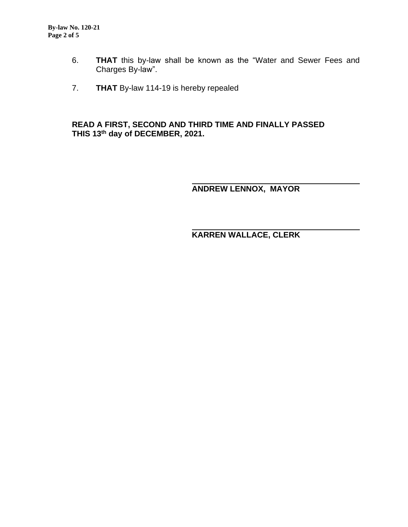- 6. **THAT** this by-law shall be known as the "Water and Sewer Fees and Charges By-law".
- 7. **THAT** By-law 114-19 is hereby repealed

#### **READ A FIRST, SECOND AND THIRD TIME AND FINALLY PASSED THIS 13 th day of DECEMBER, 2021.**

**ANDREW LENNOX, MAYOR**

**KARREN WALLACE, CLERK**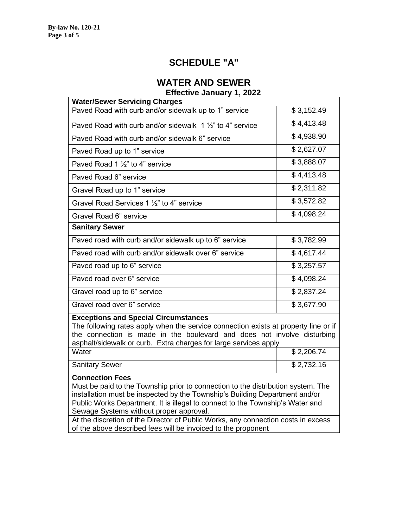### **SCHEDULE "A"**

### **WATER AND SEWER**

**Effective January 1, 2022**

| <b>Water/Sewer Servicing Charges</b>                                                                                                                                                                                                                                                                                  |            |  |
|-----------------------------------------------------------------------------------------------------------------------------------------------------------------------------------------------------------------------------------------------------------------------------------------------------------------------|------------|--|
| Paved Road with curb and/or sidewalk up to 1" service                                                                                                                                                                                                                                                                 | \$3,152.49 |  |
| Paved Road with curb and/or sidewalk $1\frac{1}{2}$ to 4" service                                                                                                                                                                                                                                                     | \$4,413.48 |  |
| Paved Road with curb and/or sidewalk 6" service                                                                                                                                                                                                                                                                       | \$4,938.90 |  |
| Paved Road up to 1" service                                                                                                                                                                                                                                                                                           | \$2,627.07 |  |
| Paved Road 1 $\frac{1}{2}$ " to 4" service                                                                                                                                                                                                                                                                            | \$3,888.07 |  |
| Paved Road 6" service                                                                                                                                                                                                                                                                                                 | \$4,413.48 |  |
| Gravel Road up to 1" service                                                                                                                                                                                                                                                                                          | \$2,311.82 |  |
| Gravel Road Services 1 1/2" to 4" service                                                                                                                                                                                                                                                                             | \$3,572.82 |  |
| Gravel Road 6" service                                                                                                                                                                                                                                                                                                | \$4,098.24 |  |
| <b>Sanitary Sewer</b>                                                                                                                                                                                                                                                                                                 |            |  |
| Paved road with curb and/or sidewalk up to 6" service                                                                                                                                                                                                                                                                 | \$3,782.99 |  |
| Paved road with curb and/or sidewalk over 6" service                                                                                                                                                                                                                                                                  | \$4,617.44 |  |
| Paved road up to 6" service                                                                                                                                                                                                                                                                                           | \$3,257.57 |  |
| Paved road over 6" service                                                                                                                                                                                                                                                                                            | \$4,098.24 |  |
| Gravel road up to 6" service                                                                                                                                                                                                                                                                                          | \$2,837.24 |  |
| Gravel road over 6" service                                                                                                                                                                                                                                                                                           | \$3,677.90 |  |
| <b>Exceptions and Special Circumstances</b><br>The following rates apply when the service connection exists at property line or if<br>the connection is made in the boulevard and does not involve disturbing<br>asphalt/sidewalk or curb. Extra charges for large services apply                                     |            |  |
| Water                                                                                                                                                                                                                                                                                                                 | \$2,206.74 |  |
| <b>Sanitary Sewer</b>                                                                                                                                                                                                                                                                                                 | \$2,732.16 |  |
| <b>Connection Fees</b><br>Must be paid to the Township prior to connection to the distribution system. The<br>installation must be inspected by the Township's Building Department and/or<br>Public Works Department. It is illegal to connect to the Township's Water and<br>Sewage Systems without proper approval. |            |  |

At the discretion of the Director of Public Works, any connection costs in excess

of the above described fees will be invoiced to the proponent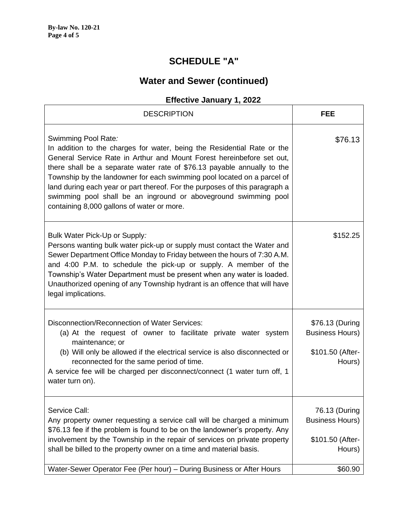## **SCHEDULE "A"**

## **Water and Sewer (continued)**

### **Effective January 1, 2022**

| <b>DESCRIPTION</b>                                                                                                                                                                                                                                                                                                                                                                                                                                                                                                            | <b>FEE</b>                                                                       |
|-------------------------------------------------------------------------------------------------------------------------------------------------------------------------------------------------------------------------------------------------------------------------------------------------------------------------------------------------------------------------------------------------------------------------------------------------------------------------------------------------------------------------------|----------------------------------------------------------------------------------|
| Swimming Pool Rate:<br>In addition to the charges for water, being the Residential Rate or the<br>General Service Rate in Arthur and Mount Forest hereinbefore set out,<br>there shall be a separate water rate of \$76.13 payable annually to the<br>Township by the landowner for each swimming pool located on a parcel of<br>land during each year or part thereof. For the purposes of this paragraph a<br>swimming pool shall be an inground or aboveground swimming pool<br>containing 8,000 gallons of water or more. | \$76.13                                                                          |
| Bulk Water Pick-Up or Supply:<br>Persons wanting bulk water pick-up or supply must contact the Water and<br>Sewer Department Office Monday to Friday between the hours of 7:30 A.M.<br>and 4:00 P.M. to schedule the pick-up or supply. A member of the<br>Township's Water Department must be present when any water is loaded.<br>Unauthorized opening of any Township hydrant is an offence that will have<br>legal implications.                                                                                          | \$152.25                                                                         |
| Disconnection/Reconnection of Water Services:<br>(a) At the request of owner to facilitate private water system<br>maintenance; or<br>(b) Will only be allowed if the electrical service is also disconnected or<br>reconnected for the same period of time.<br>A service fee will be charged per disconnect/connect (1 water turn off, 1<br>water turn on).                                                                                                                                                                  | \$76.13 (During<br><b>Business Hours)</b><br>\$101.50 (After-<br>Hours)          |
| Service Call:<br>Any property owner requesting a service call will be charged a minimum<br>\$76.13 fee if the problem is found to be on the landowner's property. Any<br>involvement by the Township in the repair of services on private property<br>shall be billed to the property owner on a time and material basis.<br>Water-Sewer Operator Fee (Per hour) - During Business or After Hours                                                                                                                             | 76.13 (During<br><b>Business Hours)</b><br>\$101.50 (After-<br>Hours)<br>\$60.90 |